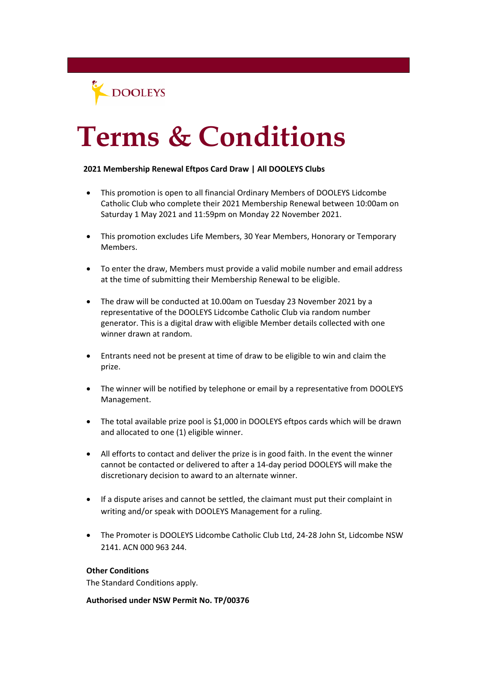DOOLEYS

## **Terms & Conditions**

## **2021 Membership Renewal Eftpos Card Draw | All DOOLEYS Clubs**

- This promotion is open to all financial Ordinary Members of DOOLEYS Lidcombe Catholic Club who complete their 2021 Membership Renewal between 10:00am on Saturday 1 May 2021 and 11:59pm on Monday 22 November 2021.
- This promotion excludes Life Members, 30 Year Members, Honorary or Temporary Members.
- To enter the draw, Members must provide a valid mobile number and email address at the time of submitting their Membership Renewal to be eligible.
- The draw will be conducted at 10.00am on Tuesday 23 November 2021 by a representative of the DOOLEYS Lidcombe Catholic Club via random number generator. This is a digital draw with eligible Member details collected with one winner drawn at random.
- Entrants need not be present at time of draw to be eligible to win and claim the prize.
- The winner will be notified by telephone or email by a representative from DOOLEYS Management.
- The total available prize pool is \$1,000 in DOOLEYS eftpos cards which will be drawn and allocated to one (1) eligible winner.
- All efforts to contact and deliver the prize is in good faith. In the event the winner cannot be contacted or delivered to after a 14-day period DOOLEYS will make the discretionary decision to award to an alternate winner.
- If a dispute arises and cannot be settled, the claimant must put their complaint in writing and/or speak with DOOLEYS Management for a ruling.
- The Promoter is DOOLEYS Lidcombe Catholic Club Ltd, 24-28 John St, Lidcombe NSW 2141. ACN 000 963 244.

## **Other Conditions**

The Standard Conditions apply.

**Authorised under NSW Permit No. TP/00376**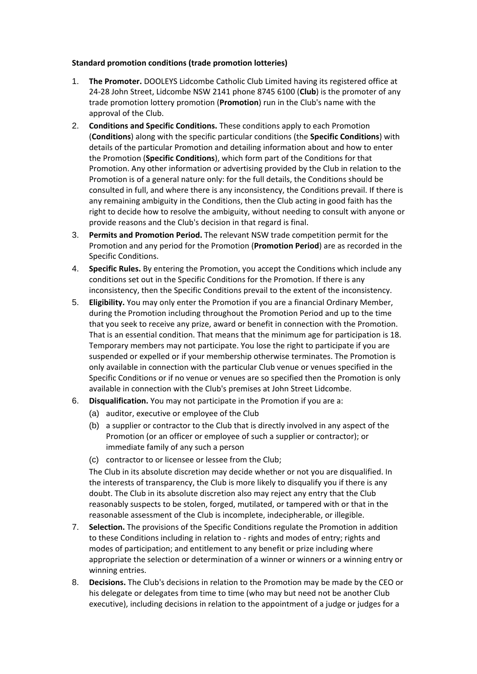## **Standard promotion conditions (trade promotion lotteries)**

- 1. **The Promoter.** DOOLEYS Lidcombe Catholic Club Limited having its registered office at 24-28 John Street, Lidcombe NSW 2141 phone 8745 6100 (**Club**) is the promoter of any trade promotion lottery promotion (**Promotion**) run in the Club's name with the approval of the Club.
- 2. **Conditions and Specific Conditions.** These conditions apply to each Promotion (**Conditions**) along with the specific particular conditions (the **Specific Conditions**) with details of the particular Promotion and detailing information about and how to enter the Promotion (**Specific Conditions**), which form part of the Conditions for that Promotion. Any other information or advertising provided by the Club in relation to the Promotion is of a general nature only: for the full details, the Conditions should be consulted in full, and where there is any inconsistency, the Conditions prevail. If there is any remaining ambiguity in the Conditions, then the Club acting in good faith has the right to decide how to resolve the ambiguity, without needing to consult with anyone or provide reasons and the Club's decision in that regard is final.
- 3. **Permits and Promotion Period.** The relevant NSW trade competition permit for the Promotion and any period for the Promotion (**Promotion Period**) are as recorded in the Specific Conditions.
- 4. **Specific Rules.** By entering the Promotion, you accept the Conditions which include any conditions set out in the Specific Conditions for the Promotion. If there is any inconsistency, then the Specific Conditions prevail to the extent of the inconsistency.
- 5. **Eligibility.** You may only enter the Promotion if you are a financial Ordinary Member, during the Promotion including throughout the Promotion Period and up to the time that you seek to receive any prize, award or benefit in connection with the Promotion. That is an essential condition. That means that the minimum age for participation is 18. Temporary members may not participate. You lose the right to participate if you are suspended or expelled or if your membership otherwise terminates. The Promotion is only available in connection with the particular Club venue or venues specified in the Specific Conditions or if no venue or venues are so specified then the Promotion is only available in connection with the Club's premises at John Street Lidcombe.
- 6. **Disqualification.** You may not participate in the Promotion if you are a:
	- (a) auditor, executive or employee of the Club
	- (b) a supplier or contractor to the Club that is directly involved in any aspect of the Promotion (or an officer or employee of such a supplier or contractor); or immediate family of any such a person
	- (c) contractor to or licensee or lessee from the Club;

The Club in its absolute discretion may decide whether or not you are disqualified. In the interests of transparency, the Club is more likely to disqualify you if there is any doubt. The Club in its absolute discretion also may reject any entry that the Club reasonably suspects to be stolen, forged, mutilated, or tampered with or that in the reasonable assessment of the Club is incomplete, indecipherable, or illegible.

- 7. **Selection.** The provisions of the Specific Conditions regulate the Promotion in addition to these Conditions including in relation to - rights and modes of entry; rights and modes of participation; and entitlement to any benefit or prize including where appropriate the selection or determination of a winner or winners or a winning entry or winning entries.
- 8. **Decisions.** The Club's decisions in relation to the Promotion may be made by the CEO or his delegate or delegates from time to time (who may but need not be another Club executive), including decisions in relation to the appointment of a judge or judges for a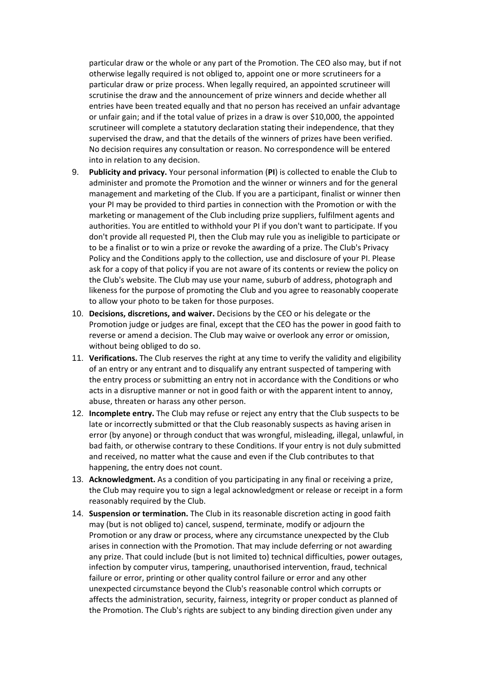particular draw or the whole or any part of the Promotion. The CEO also may, but if not otherwise legally required is not obliged to, appoint one or more scrutineers for a particular draw or prize process. When legally required, an appointed scrutineer will scrutinise the draw and the announcement of prize winners and decide whether all entries have been treated equally and that no person has received an unfair advantage or unfair gain; and if the total value of prizes in a draw is over \$10,000, the appointed scrutineer will complete a statutory declaration stating their independence, that they supervised the draw, and that the details of the winners of prizes have been verified. No decision requires any consultation or reason. No correspondence will be entered into in relation to any decision.

- 9. **Publicity and privacy.** Your personal information (**PI**) is collected to enable the Club to administer and promote the Promotion and the winner or winners and for the general management and marketing of the Club. If you are a participant, finalist or winner then your PI may be provided to third parties in connection with the Promotion or with the marketing or management of the Club including prize suppliers, fulfilment agents and authorities. You are entitled to withhold your PI if you don't want to participate. If you don't provide all requested PI, then the Club may rule you as ineligible to participate or to be a finalist or to win a prize or revoke the awarding of a prize. The Club's Privacy Policy and the Conditions apply to the collection, use and disclosure of your PI. Please ask for a copy of that policy if you are not aware of its contents or review the policy on the Club's website. The Club may use your name, suburb of address, photograph and likeness for the purpose of promoting the Club and you agree to reasonably cooperate to allow your photo to be taken for those purposes.
- 10. **Decisions, discretions, and waiver.** Decisions by the CEO or his delegate or the Promotion judge or judges are final, except that the CEO has the power in good faith to reverse or amend a decision. The Club may waive or overlook any error or omission, without being obliged to do so.
- 11. **Verifications.** The Club reserves the right at any time to verify the validity and eligibility of an entry or any entrant and to disqualify any entrant suspected of tampering with the entry process or submitting an entry not in accordance with the Conditions or who acts in a disruptive manner or not in good faith or with the apparent intent to annoy, abuse, threaten or harass any other person.
- 12. **Incomplete entry.** The Club may refuse or reject any entry that the Club suspects to be late or incorrectly submitted or that the Club reasonably suspects as having arisen in error (by anyone) or through conduct that was wrongful, misleading, illegal, unlawful, in bad faith, or otherwise contrary to these Conditions. If your entry is not duly submitted and received, no matter what the cause and even if the Club contributes to that happening, the entry does not count.
- 13. **Acknowledgment.** As a condition of you participating in any final or receiving a prize, the Club may require you to sign a legal acknowledgment or release or receipt in a form reasonably required by the Club.
- 14. **Suspension or termination.** The Club in its reasonable discretion acting in good faith may (but is not obliged to) cancel, suspend, terminate, modify or adjourn the Promotion or any draw or process, where any circumstance unexpected by the Club arises in connection with the Promotion. That may include deferring or not awarding any prize. That could include (but is not limited to) technical difficulties, power outages, infection by computer virus, tampering, unauthorised intervention, fraud, technical failure or error, printing or other quality control failure or error and any other unexpected circumstance beyond the Club's reasonable control which corrupts or affects the administration, security, fairness, integrity or proper conduct as planned of the Promotion. The Club's rights are subject to any binding direction given under any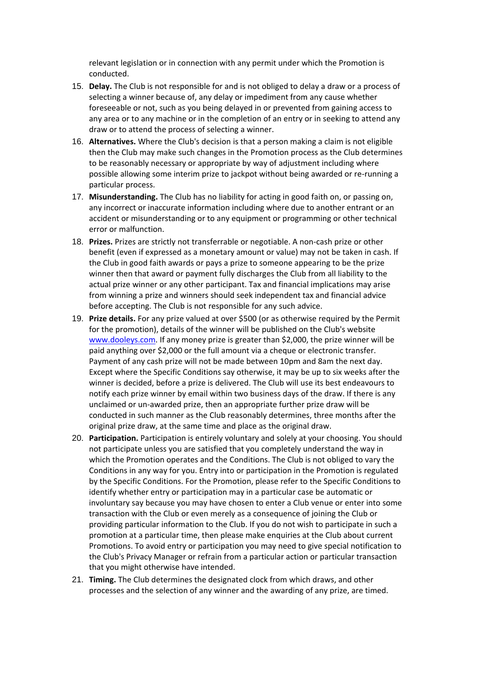relevant legislation or in connection with any permit under which the Promotion is conducted.

- 15. **Delay.** The Club is not responsible for and is not obliged to delay a draw or a process of selecting a winner because of, any delay or impediment from any cause whether foreseeable or not, such as you being delayed in or prevented from gaining access to any area or to any machine or in the completion of an entry or in seeking to attend any draw or to attend the process of selecting a winner.
- 16. **Alternatives.** Where the Club's decision is that a person making a claim is not eligible then the Club may make such changes in the Promotion process as the Club determines to be reasonably necessary or appropriate by way of adjustment including where possible allowing some interim prize to jackpot without being awarded or re-running a particular process.
- 17. **Misunderstanding.** The Club has no liability for acting in good faith on, or passing on, any incorrect or inaccurate information including where due to another entrant or an accident or misunderstanding or to any equipment or programming or other technical error or malfunction.
- 18. **Prizes.** Prizes are strictly not transferrable or negotiable. A non-cash prize or other benefit (even if expressed as a monetary amount or value) may not be taken in cash. If the Club in good faith awards or pays a prize to someone appearing to be the prize winner then that award or payment fully discharges the Club from all liability to the actual prize winner or any other participant. Tax and financial implications may arise from winning a prize and winners should seek independent tax and financial advice before accepting. The Club is not responsible for any such advice.
- 19. **Prize details.** For any prize valued at over \$500 (or as otherwise required by the Permit for the promotion), details of the winner will be published on the Club's website [www.dooleys.com.](http://www.dooleys.com/) If any money prize is greater than \$2,000, the prize winner will be paid anything over \$2,000 or the full amount via a cheque or electronic transfer. Payment of any cash prize will not be made between 10pm and 8am the next day. Except where the Specific Conditions say otherwise, it may be up to six weeks after the winner is decided, before a prize is delivered. The Club will use its best endeavours to notify each prize winner by email within two business days of the draw. If there is any unclaimed or un-awarded prize, then an appropriate further prize draw will be conducted in such manner as the Club reasonably determines, three months after the original prize draw, at the same time and place as the original draw.
- 20. **Participation.** Participation is entirely voluntary and solely at your choosing. You should not participate unless you are satisfied that you completely understand the way in which the Promotion operates and the Conditions. The Club is not obliged to vary the Conditions in any way for you. Entry into or participation in the Promotion is regulated by the Specific Conditions. For the Promotion, please refer to the Specific Conditions to identify whether entry or participation may in a particular case be automatic or involuntary say because you may have chosen to enter a Club venue or enter into some transaction with the Club or even merely as a consequence of joining the Club or providing particular information to the Club. If you do not wish to participate in such a promotion at a particular time, then please make enquiries at the Club about current Promotions. To avoid entry or participation you may need to give special notification to the Club's Privacy Manager or refrain from a particular action or particular transaction that you might otherwise have intended.
- 21. **Timing.** The Club determines the designated clock from which draws, and other processes and the selection of any winner and the awarding of any prize, are timed.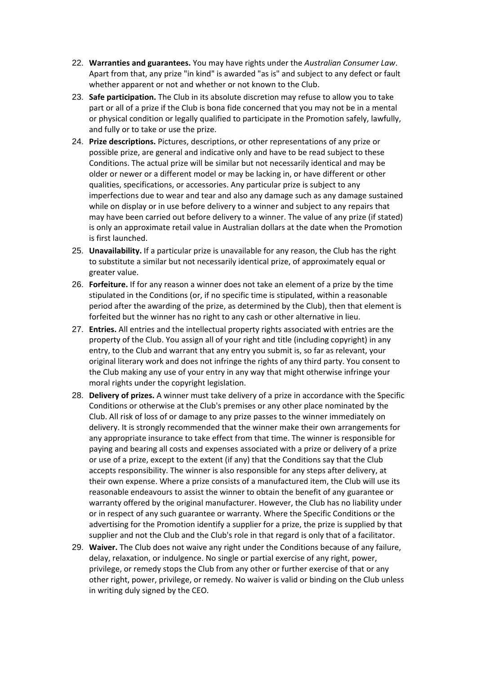- 22. **Warranties and guarantees.** You may have rights under the *Australian Consumer Law*. Apart from that, any prize "in kind" is awarded "as is" and subject to any defect or fault whether apparent or not and whether or not known to the Club.
- 23. **Safe participation.** The Club in its absolute discretion may refuse to allow you to take part or all of a prize if the Club is bona fide concerned that you may not be in a mental or physical condition or legally qualified to participate in the Promotion safely, lawfully, and fully or to take or use the prize.
- 24. **Prize descriptions.** Pictures, descriptions, or other representations of any prize or possible prize, are general and indicative only and have to be read subject to these Conditions. The actual prize will be similar but not necessarily identical and may be older or newer or a different model or may be lacking in, or have different or other qualities, specifications, or accessories. Any particular prize is subject to any imperfections due to wear and tear and also any damage such as any damage sustained while on display or in use before delivery to a winner and subject to any repairs that may have been carried out before delivery to a winner. The value of any prize (if stated) is only an approximate retail value in Australian dollars at the date when the Promotion is first launched.
- 25. **Unavailability.** If a particular prize is unavailable for any reason, the Club has the right to substitute a similar but not necessarily identical prize, of approximately equal or greater value.
- 26. **Forfeiture.** If for any reason a winner does not take an element of a prize by the time stipulated in the Conditions (or, if no specific time is stipulated, within a reasonable period after the awarding of the prize, as determined by the Club), then that element is forfeited but the winner has no right to any cash or other alternative in lieu.
- 27. **Entries.** All entries and the intellectual property rights associated with entries are the property of the Club. You assign all of your right and title (including copyright) in any entry, to the Club and warrant that any entry you submit is, so far as relevant, your original literary work and does not infringe the rights of any third party. You consent to the Club making any use of your entry in any way that might otherwise infringe your moral rights under the copyright legislation.
- 28. **Delivery of prizes.** A winner must take delivery of a prize in accordance with the Specific Conditions or otherwise at the Club's premises or any other place nominated by the Club. All risk of loss of or damage to any prize passes to the winner immediately on delivery. It is strongly recommended that the winner make their own arrangements for any appropriate insurance to take effect from that time. The winner is responsible for paying and bearing all costs and expenses associated with a prize or delivery of a prize or use of a prize, except to the extent (if any) that the Conditions say that the Club accepts responsibility. The winner is also responsible for any steps after delivery, at their own expense. Where a prize consists of a manufactured item, the Club will use its reasonable endeavours to assist the winner to obtain the benefit of any guarantee or warranty offered by the original manufacturer. However, the Club has no liability under or in respect of any such guarantee or warranty. Where the Specific Conditions or the advertising for the Promotion identify a supplier for a prize, the prize is supplied by that supplier and not the Club and the Club's role in that regard is only that of a facilitator.
- 29. **Waiver.** The Club does not waive any right under the Conditions because of any failure, delay, relaxation, or indulgence. No single or partial exercise of any right, power, privilege, or remedy stops the Club from any other or further exercise of that or any other right, power, privilege, or remedy. No waiver is valid or binding on the Club unless in writing duly signed by the CEO.